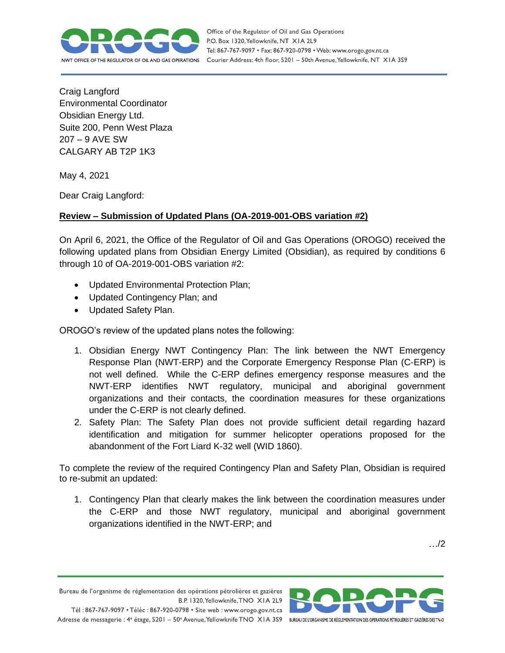

Office of the Regulator of Oil and Gas Operations P.O. Box 1320, Yellowknife, NT XIA 2L9 Tel: 867-767-9097 • Fax: 867-920-0798 • Web: www.orogo.gov.nt.ca Courier Address: 4th floor, 5201 - 50th Avenue, Yellowknife, NT XIA 3S9

Craig Langford Environmental Coordinator Obsidian Energy Ltd. Suite 200, Penn West Plaza 207 – 9 AVE SW CALGARY AB T2P 1K3

May 4, 2021

Dear Craig Langford:

## **Review – Submission of Updated Plans (OA-2019-001-OBS variation #2)**

On April 6, 2021, the Office of the Regulator of Oil and Gas Operations (OROGO) received the following updated plans from Obsidian Energy Limited (Obsidian), as required by conditions 6 through 10 of OA-2019-001-OBS variation #2:

- Updated Environmental Protection Plan;
- Updated Contingency Plan; and
- Updated Safety Plan.

OROGO's review of the updated plans notes the following:

- 1. Obsidian Energy NWT Contingency Plan: The link between the NWT Emergency Response Plan (NWT-ERP) and the Corporate Emergency Response Plan (C-ERP) is not well defined. While the C-ERP defines emergency response measures and the NWT-ERP identifies NWT regulatory, municipal and aboriginal government organizations and their contacts, the coordination measures for these organizations under the C-ERP is not clearly defined.
- 2. Safety Plan: The Safety Plan does not provide sufficient detail regarding hazard identification and mitigation for summer helicopter operations proposed for the abandonment of the Fort Liard K-32 well (WID 1860).

To complete the review of the required Contingency Plan and Safety Plan, Obsidian is required to re-submit an updated:

1. Contingency Plan that clearly makes the link between the coordination measures under the C-ERP and those NWT regulatory, municipal and aboriginal government organizations identified in the NWT-ERP; and

…/2

Bureau de l'organisme de réglementation des opérations pétrolières et gazières B.P. 1320, Yellowknife, TNO XIA 2L9

Tél: 867-767-9097 • Téléc: 867-920-0798 • Site web: www.orogo.gov.nt.ca Adresse de messagerie : 4<sup>e</sup> étage, 5201 - 50° Avenue, Yellowknife TNO XIA 3S9 BUREAU DE L'ORGANISME DE RÉGLEMENTATION DES OPERATIONS PÉTROLIÈRES ET GAZIÈRES DESTNO